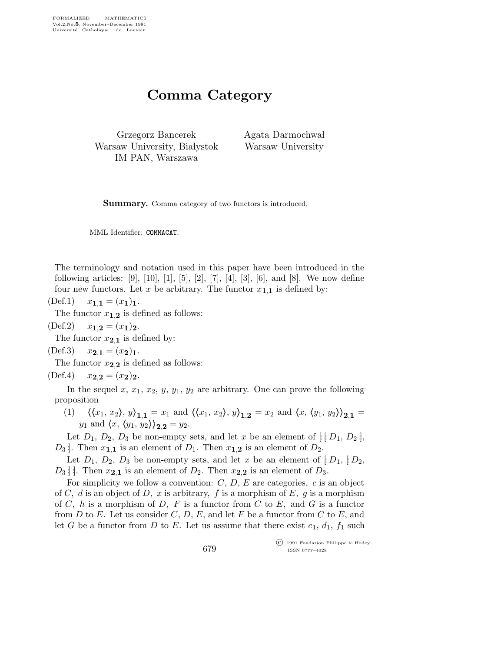## Comma Category

Grzegorz Bancerek Warsaw University, Białystok IM PAN, Warszawa

Agata Darmochwał Warsaw University

Summary. Comma category of two functors is introduced.

MML Identifier: COMMACAT.

The terminology and notation used in this paper have been introduced in the following articles: [9], [10], [1], [5], [2], [7], [4], [3], [6], and [8]. We now define four new functors. Let x be arbitrary. The functor  $x_{1,1}$  is defined by:

 $(\text{Def.1}) \quad x_{1,1} = (x_1)_1.$ 

The functor  $x_{1,2}$  is defined as follows:

 $(\text{Def.2})$   $x_{1,2} = (x_1)_2$ .

The functor  $x_{2,1}$  is defined by:

$$
(\text{Def.3}) \quad x_{2,1} = (x_2)_1.
$$

The functor  $x_{2,2}$  is defined as follows:

 $(\text{Def.4})$   $x_{2,2} = (x_2)_2.$ 

In the sequel x,  $x_1, x_2, y, y_1, y_2$  are arbitrary. One can prove the following proposition

(1)  $\langle \langle x_1, x_2 \rangle, y \rangle_{1,1} = x_1$  and  $\langle \langle x_1, x_2 \rangle, y \rangle_{1,2} = x_2$  and  $\langle x, \langle y_1, y_2 \rangle_{2,1} =$  $y_1$  and  $\langle x, \langle y_1, y_2 \rangle \rangle_{2,2} = y_2.$ 

Let  $D_1$ ,  $D_2$ ,  $D_3$  be non-empty sets, and let x be an element of  $[$   $[D_1, D_2]$ ,  $D_3$ . Then  $x_{1,1}$  is an element of  $D_1$ . Then  $x_{1,2}$  is an element of  $D_2$ .

Let  $D_1$ ,  $D_2$ ,  $D_3$  be non-empty sets, and let x be an element of  $[D_1, [D_2,$  $D_3$  : Then  $x_{2,1}$  is an element of  $D_2$ . Then  $x_{2,2}$  is an element of  $D_3$ .

For simplicity we follow a convention:  $C, D, E$  are categories, c is an object of C, d is an object of D, x is arbitrary, f is a morphism of E, g is a morphism of C, h is a morphism of D, F is a functor from C to E, and G is a functor from D to E. Let us consider C, D, E, and let F be a functor from C to E, and let G be a functor from D to E. Let us assume that there exist  $c_1$ ,  $d_1$ ,  $f_1$  such

> c 1991 Fondation Philippe le Hodey ISSN 0777–4028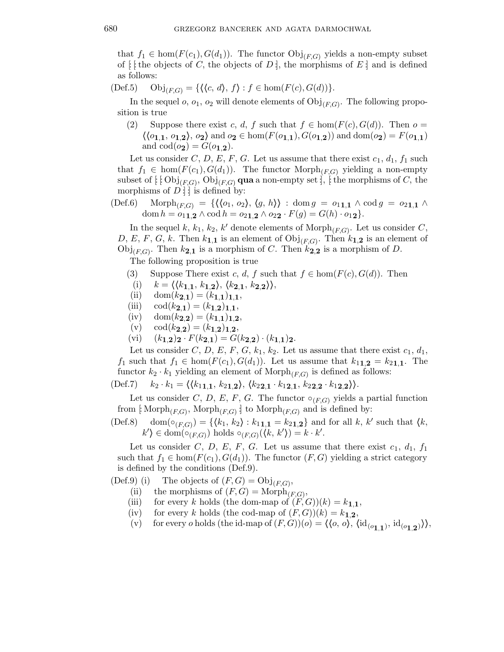that  $f_1 \in \text{hom}(F(c_1), G(d_1))$ . The functor  $\text{Obj}_{(F,G)}$  yields a non-empty subset of  $\lbrack \cdot \rbrack$  the objects of C, the objects of D  $\rbrack$ , the morphisms of E  $\rbrack$  and is defined as follows:

 $(\text{Def.5})$   $\text{Obj}_{(FG)} = \{ \langle \langle c, d \rangle, f \rangle : f \in \text{hom}(F(c), G(d)) \}.$ 

In the sequel  $o, o_1, o_2$  will denote elements of  $\mathrm{Obj}_{(F,G)}$ . The following proposition is true

(2) Suppose there exist c, d, f such that  $f \in \text{hom}(F(c), G(d))$ . Then  $o =$  $\{\langle o_{1,1}, o_{1,2}\rangle, o_2\}$  and  $o_2 \in \text{hom}(F(o_{1,1}), G(o_{1,2}))$  and  $\text{dom}(o_2) = F(o_{1,1})$ and  $\text{cod}(o_2) = G(o_{1,2}).$ 

Let us consider C, D, E, F, G. Let us assume that there exist  $c_1$ ,  $d_1$ ,  $f_1$  such that  $f_1 \in \text{hom}(F(c_1), G(d_1))$ . The functor  $\text{Morph}_{(F,G)}$  yielding a non-empty subset of  $[~!~\mathrm{Obj}_{(F,G)}, \mathrm{Obj}_{(F,G)}$  qua a non-empty set  $]$ ,  $[$  the morphisms of  $C,$  the morphisms of  $D$  : is defined by:

(Def.6) Morph<sub>(F,G)</sub> = { $\langle \langle o_1, o_2 \rangle, \langle g, h \rangle \rangle : \text{dom } g = o_{11,1} \wedge \text{cod } g = o_{21,1} \wedge$ dom  $h = o_{11,2} \wedge \text{cod } h = o_{21,2} \wedge o_{22} \cdot F(g) = G(h) \cdot o_{12}$ .

In the sequel  $k, k_1, k_2, k'$  denote elements of  $\mathrm{Morph}_{(F,G)}$ . Let us consider C, D, E, F, G, k. Then  $k_{1,1}$  is an element of  $\mathrm{Obj}_{(F,G)}$ . Then  $k_{1,2}$  is an element of  $\mathrm{Obj}_{(F,G)}$ . Then  $k_{2,1}$  is a morphism of C. Then  $k_{2,2}$  is a morphism of D.

The following proposition is true

- (3) Suppose There exist c, d, f such that  $f \in \text{hom}(F(c), G(d))$ . Then
- (i)  $k = \langle \langle k_{1,1}, k_{1,2} \rangle, \langle k_{2,1}, k_{2,2} \rangle \rangle,$
- (ii)  $\text{dom}(k_{2,1}) = (k_{1,1})_{1,1},$
- (iii)  $\text{cod}(k_{2,1}) = (k_{1,2})_{1,1}$ ,
- (iv)  $\text{dom}(k_{2,2}) = (k_{1,1})_{1,2}$ ,
- (v)  $\cot(k_{2,2}) = (k_{1,2})_{1,2}$ ,
- (vi)  $(k_{1,2})_2 \cdot F(k_{2,1}) = G(k_{2,2}) \cdot (k_{1,1})_2.$

Let us consider C, D, E, F, G,  $k_1$ ,  $k_2$ . Let us assume that there exist  $c_1$ ,  $d_1$ ,  $f_1$  such that  $f_1 \in \text{hom}(F(c_1), G(d_1))$ . Let us assume that  $k_{1,2} = k_{2,1,1}$ . The functor  $k_2 \cdot k_1$  yielding an element of  $\text{Morph}_{(F,G)}$  is defined as follows:

 $(\text{Def.7})$   $k_2 \cdot k_1 = \langle \langle k_{11,1}, k_{21,2} \rangle, \langle k_{22,1} \cdot k_{12,1}, k_{22,2} \cdot k_{12,2} \rangle \rangle.$ 

Let us consider C, D, E, F, G. The functor  $\circ_{(F,G)}$  yields a partial function from [ $\operatorname{Morph}_{(F,G)}$ ,  $\operatorname{Morph}_{(F,G)}$ ] to  $\operatorname{Morph}_{(F,G)}$  and is defined by:

 $(Def.8) \quad \text{dom}(\circ_{(F,G)}) = \{ \langle k_1, k_2 \rangle : k_{1,1} = k_{2,1,2} \}$  and for all k, k' such that  $\langle k, k \rangle$  $k'$   $\in$  dom $(\circ_{(F,G)})$  holds  $\circ_{(F,G)}(\langle k, k' \rangle) = k \cdot k'.$ 

Let us consider C, D, E, F, G. Let us assume that there exist  $c_1$ ,  $d_1$ ,  $f_1$ such that  $f_1 \in \text{hom}(F(c_1), G(d_1))$ . The functor  $(F, G)$  yielding a strict category is defined by the conditions (Def.9).

(Def.9) (i) The objects of  $(F, G) = \text{Obj}_{(F, G)}$ ,

(ii) the morphisms of  $(F, G) = \text{Morph}_{(F, G)}$ ,

- (iii) for every k holds (the dom-map of  $(F, G)(k) = k_{1,1}$ ,
- (iv) for every k holds (the cod-map of  $(F, G)(k) = k_{1,2}$ ,
- (v) for every *o* holds (the id-map of  $(F, G)(o) = \langle \langle o, o \rangle, \langle \mathrm{id}_{(o_{1,1})}, \mathrm{id}_{(o_{1,2})} \rangle$ ),